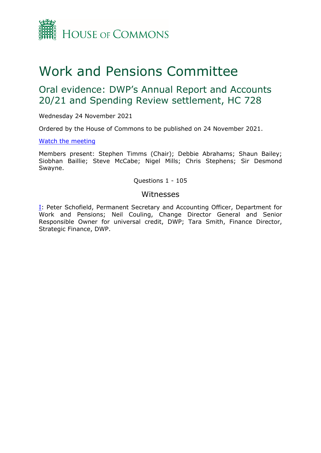

# Work and Pensions Committee

# Oral evidence: DWP's Annual Report and Accounts 20/21 and Spending Review settlement, HC 728

Wednesday 24 November 2021

Ordered by the House of Commons to be published on 24 November 2021.

#### [Watch](https://www.parliamentlive.tv/Event/Index/d4766433-5e00-4060-8e24-a5e4030da3d3) [the](https://www.parliamentlive.tv/Event/Index/d4766433-5e00-4060-8e24-a5e4030da3d3) [meeting](https://www.parliamentlive.tv/Event/Index/d4766433-5e00-4060-8e24-a5e4030da3d3)

Members present: Stephen Timms (Chair); Debbie Abrahams; Shaun Bailey; Siobhan Baillie; Steve McCabe; Nigel Mills; Chris Stephens; Sir Desmond Swayne.

## Questions 1 - 105

## Witnesses

[I:](#page-1-0) Peter Schofield, Permanent Secretary and Accounting Officer, Department for Work and Pensions; Neil Couling, Change Director General and Senior Responsible Owner for universal credit, DWP; Tara Smith, Finance Director, Strategic Finance, DWP.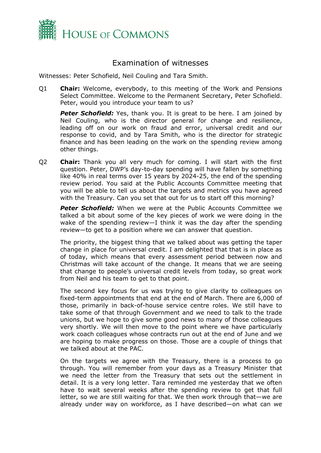

# <span id="page-1-0"></span>Examination of witnesses

Witnesses: Peter Schofield, Neil Couling and Tara Smith.

Q1 **Chair:** Welcome, everybody, to this meeting of the Work and Pensions Select Committee. Welcome to the Permanent Secretary, Peter Schofield. Peter, would you introduce your team to us?

**Peter Schofield:** Yes, thank you. It is great to be here. I am joined by Neil Couling, who is the director general for change and resilience, leading off on our work on fraud and error, universal credit and our response to covid, and by Tara Smith, who is the director for strategic finance and has been leading on the work on the spending review among other things.

Q2 **Chair:** Thank you all very much for coming. I will start with the first question. Peter, DWP's day-to-day spending will have fallen by something like 40% in real terms over 15 years by 2024-25, the end of the spending review period. You said at the Public Accounts Committee meeting that you will be able to tell us about the targets and metrics you have agreed with the Treasury. Can you set that out for us to start off this morning?

*Peter Schofield:* When we were at the Public Accounts Committee we talked a bit about some of the key pieces of work we were doing in the wake of the spending review—I think it was the day after the spending review—to get to a position where we can answer that question.

The priority, the biggest thing that we talked about was getting the taper change in place for universal credit. I am delighted that that is in place as of today, which means that every assessment period between now and Christmas will take account of the change. It means that we are seeing that change to people's universal credit levels from today, so great work from Neil and his team to get to that point.

The second key focus for us was trying to give clarity to colleagues on fixed-term appointments that end at the end of March. There are 6,000 of those, primarily in back-of-house service centre roles. We still have to take some of that through Government and we need to talk to the trade unions, but we hope to give some good news to many of those colleagues very shortly. We will then move to the point where we have particularly work coach colleagues whose contracts run out at the end of June and we are hoping to make progress on those. Those are a couple of things that we talked about at the PAC.

On the targets we agree with the Treasury, there is a process to go through. You will remember from your days as a Treasury Minister that we need the letter from the Treasury that sets out the settlement in detail. It is a very long letter. Tara reminded me yesterday that we often have to wait several weeks after the spending review to get that full letter, so we are still waiting for that. We then work through that—we are already under way on workforce, as I have described—on what can we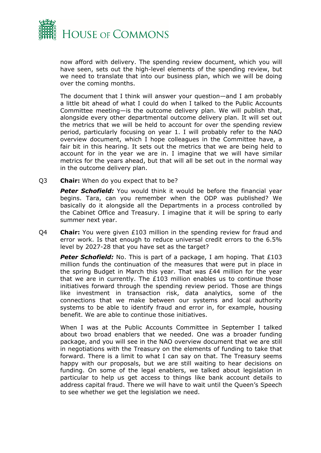

now afford with delivery. The spending review document, which you will have seen, sets out the high-level elements of the spending review, but we need to translate that into our business plan, which we will be doing over the coming months.

The document that I think will answer your question—and I am probably a little bit ahead of what I could do when I talked to the Public Accounts Committee meeting—is the outcome delivery plan. We will publish that, alongside every other departmental outcome delivery plan. It will set out the metrics that we will be held to account for over the spending review period, particularly focusing on year 1. I will probably refer to the NAO overview document, which I hope colleagues in the Committee have, a fair bit in this hearing. It sets out the metrics that we are being held to account for in the year we are in. I imagine that we will have similar metrics for the years ahead, but that will all be set out in the normal way in the outcome delivery plan.

Q3 **Chair:** When do you expect that to be?

**Peter Schofield:** You would think it would be before the financial year begins. Tara, can you remember when the ODP was published? We basically do it alongside all the Departments in a process controlled by the Cabinet Office and Treasury. I imagine that it will be spring to early summer next year.

Q4 **Chair:** You were given £103 million in the spending review for fraud and error work. Is that enough to reduce universal credit errors to the 6.5% level by 2027-28 that you have set as the target?

**Peter Schofield:** No. This is part of a package, I am hoping. That £103 million funds the continuation of the measures that were put in place in the spring Budget in March this year. That was £44 million for the year that we are in currently. The £103 million enables us to continue those initiatives forward through the spending review period. Those are things like investment in transaction risk, data analytics, some of the connections that we make between our systems and local authority systems to be able to identify fraud and error in, for example, housing benefit. We are able to continue those initiatives.

When I was at the Public Accounts Committee in September I talked about two broad enablers that we needed. One was a broader funding package, and you will see in the NAO overview document that we are still in negotiations with the Treasury on the elements of funding to take that forward. There is a limit to what I can say on that. The Treasury seems happy with our proposals, but we are still waiting to hear decisions on funding. On some of the legal enablers, we talked about legislation in particular to help us get access to things like bank account details to address capital fraud. There we will have to wait until the Queen's Speech to see whether we get the legislation we need.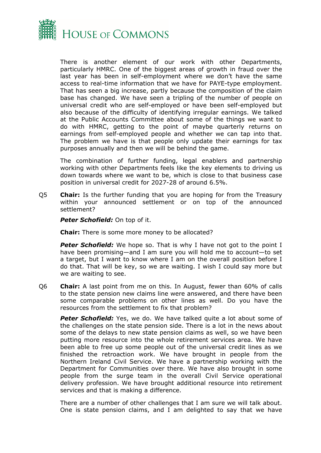

There is another element of our work with other Departments, particularly HMRC. One of the biggest areas of growth in fraud over the last year has been in self-employment where we don't have the same access to real-time information that we have for PAYE-type employment. That has seen a big increase, partly because the composition of the claim base has changed. We have seen a tripling of the number of people on universal credit who are self-employed or have been self-employed but also because of the difficulty of identifying irregular earnings. We talked at the Public Accounts Committee about some of the things we want to do with HMRC, getting to the point of maybe quarterly returns on earnings from self-employed people and whether we can tap into that. The problem we have is that people only update their earnings for tax purposes annually and then we will be behind the game.

The combination of further funding, legal enablers and partnership working with other Departments feels like the key elements to driving us down towards where we want to be, which is close to that business case position in universal credit for 2027-28 of around 6.5%.

Q5 **Chair:** Is the further funding that you are hoping for from the Treasury within your announced settlement or on top of the announced settlement?

*Peter Schofield:* On top of it.

**Chair:** There is some more money to be allocated?

**Peter Schofield:** We hope so. That is why I have not got to the point I have been promising—and I am sure you will hold me to account—to set a target, but I want to know where I am on the overall position before I do that. That will be key, so we are waiting. I wish I could say more but we are waiting to see.

Q6 **Chair:** A last point from me on this. In August, fewer than 60% of calls to the state pension new claims line were answered, and there have been some comparable problems on other lines as well. Do you have the resources from the settlement to fix that problem?

**Peter Schofield:** Yes, we do. We have talked quite a lot about some of the challenges on the state pension side. There is a lot in the news about some of the delays to new state pension claims as well, so we have been putting more resource into the whole retirement services area. We have been able to free up some people out of the universal credit lines as we finished the retroaction work. We have brought in people from the Northern Ireland Civil Service. We have a partnership working with the Department for Communities over there. We have also brought in some people from the surge team in the overall Civil Service operational delivery profession. We have brought additional resource into retirement services and that is making a difference.

There are a number of other challenges that I am sure we will talk about. One is state pension claims, and I am delighted to say that we have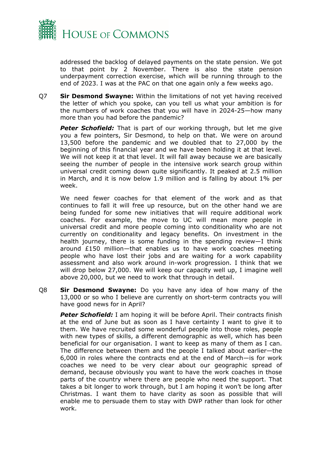

addressed the backlog of delayed payments on the state pension. We got to that point by 2 November. There is also the state pension underpayment correction exercise, which will be running through to the end of 2023. I was at the PAC on that one again only a few weeks ago.

Q7 **Sir Desmond Swayne:** Within the limitations of not yet having received the letter of which you spoke, can you tell us what your ambition is for the numbers of work coaches that you will have in 2024-25—how many more than you had before the pandemic?

*Peter Schofield:* That is part of our working through, but let me give you a few pointers, Sir Desmond, to help on that. We were on around 13,500 before the pandemic and we doubled that to 27,000 by the beginning of this financial year and we have been holding it at that level. We will not keep it at that level. It will fall away because we are basically seeing the number of people in the intensive work search group within universal credit coming down quite significantly. It peaked at 2.5 million in March, and it is now below 1.9 million and is falling by about 1% per week.

We need fewer coaches for that element of the work and as that continues to fall it will free up resource, but on the other hand we are being funded for some new initiatives that will require additional work coaches. For example, the move to UC will mean more people in universal credit and more people coming into conditionality who are not currently on conditionality and legacy benefits. On investment in the health journey, there is some funding in the spending review—I think around £150 million—that enables us to have work coaches meeting people who have lost their jobs and are waiting for a work capability assessment and also work around in-work progression. I think that we will drop below 27,000. We will keep our capacity well up, I imagine well above 20,000, but we need to work that through in detail.

Q8 **Sir Desmond Swayne:** Do you have any idea of how many of the 13,000 or so who I believe are currently on short-term contracts you will have good news for in April?

*Peter Schofield:* I am hoping it will be before April. Their contracts finish at the end of June but as soon as I have certainty I want to give it to them. We have recruited some wonderful people into those roles, people with new types of skills, a different demographic as well, which has been beneficial for our organisation. I want to keep as many of them as I can. The difference between them and the people I talked about earlier—the 6,000 in roles where the contracts end at the end of March—is for work coaches we need to be very clear about our geographic spread of demand, because obviously you want to have the work coaches in those parts of the country where there are people who need the support. That takes a bit longer to work through, but I am hoping it won't be long after Christmas. I want them to have clarity as soon as possible that will enable me to persuade them to stay with DWP rather than look for other work.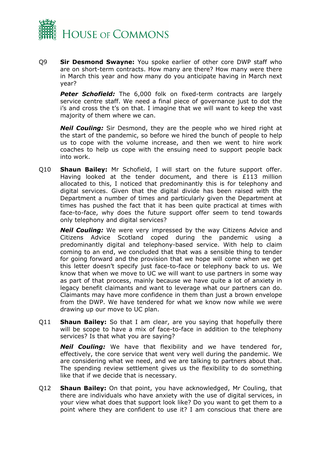

Q9 **Sir Desmond Swayne:** You spoke earlier of other core DWP staff who are on short-term contracts. How many are there? How many were there in March this year and how many do you anticipate having in March next year?

**Peter Schofield:** The 6,000 folk on fixed-term contracts are largely service centre staff. We need a final piece of governance just to dot the i's and cross the t's on that. I imagine that we will want to keep the vast majority of them where we can.

*Neil Couling:* Sir Desmond, they are the people who we hired right at the start of the pandemic, so before we hired the bunch of people to help us to cope with the volume increase, and then we went to hire work coaches to help us cope with the ensuing need to support people back into work.

Q10 **Shaun Bailey:** Mr Schofield, I will start on the future support offer. Having looked at the tender document, and there is £113 million allocated to this, I noticed that predominantly this is for telephony and digital services. Given that the digital divide has been raised with the Department a number of times and particularly given the Department at times has pushed the fact that it has been quite practical at times with face-to-face, why does the future support offer seem to tend towards only telephony and digital services?

*Neil Couling:* We were very impressed by the way Citizens Advice and Citizens Advice Scotland coped during the pandemic using a predominantly digital and telephony-based service. With help to claim coming to an end, we concluded that that was a sensible thing to tender for going forward and the provision that we hope will come when we get this letter doesn't specify just face-to-face or telephony back to us. We know that when we move to UC we will want to use partners in some way as part of that process, mainly because we have quite a lot of anxiety in legacy benefit claimants and want to leverage what our partners can do. Claimants may have more confidence in them than just a brown envelope from the DWP. We have tendered for what we know now while we were drawing up our move to UC plan.

Q11 **Shaun Bailey:** So that I am clear, are you saying that hopefully there will be scope to have a mix of face-to-face in addition to the telephony services? Is that what you are saying?

*Neil Couling:* We have that flexibility and we have tendered for, effectively, the core service that went very well during the pandemic. We are considering what we need, and we are talking to partners about that. The spending review settlement gives us the flexibility to do something like that if we decide that is necessary.

Q12 **Shaun Bailey:** On that point, you have acknowledged, Mr Couling, that there are individuals who have anxiety with the use of digital services, in your view what does that support look like? Do you want to get them to a point where they are confident to use it? I am conscious that there are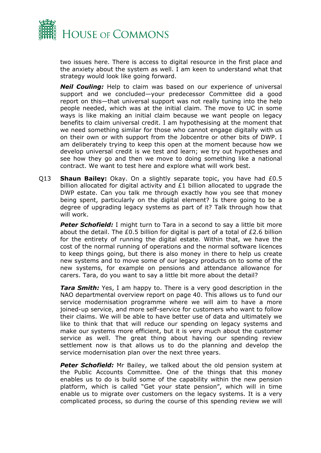

two issues here. There is access to digital resource in the first place and the anxiety about the system as well. I am keen to understand what that strategy would look like going forward.

*Neil Couling:* Help to claim was based on our experience of universal support and we concluded—your predecessor Committee did a good report on this—that universal support was not really tuning into the help people needed, which was at the initial claim. The move to UC in some ways is like making an initial claim because we want people on legacy benefits to claim universal credit. I am hypothesising at the moment that we need something similar for those who cannot engage digitally with us on their own or with support from the Jobcentre or other bits of DWP. I am deliberately trying to keep this open at the moment because how we develop universal credit is we test and learn; we try out hypotheses and see how they go and then we move to doing something like a national contract. We want to test here and explore what will work best.

Q13 **Shaun Bailey:** Okay. On a slightly separate topic, you have had £0.5 billion allocated for digital activity and  $£1$  billion allocated to upgrade the DWP estate. Can you talk me through exactly how you see that money being spent, particularly on the digital element? Is there going to be a degree of upgrading legacy systems as part of it? Talk through how that will work.

**Peter Schofield:** I might turn to Tara in a second to say a little bit more about the detail. The £0.5 billion for digital is part of a total of £2.6 billion for the entirety of running the digital estate. Within that, we have the cost of the normal running of operations and the normal software licences to keep things going, but there is also money in there to help us create new systems and to move some of our legacy products on to some of the new systems, for example on pensions and attendance allowance for carers. Tara, do you want to say a little bit more about the detail?

*Tara Smith:* Yes, I am happy to. There is a very good description in the NAO departmental overview report on page 40. This allows us to fund our service modernisation programme where we will aim to have a more joined-up service, and more self-service for customers who want to follow their claims. We will be able to have better use of data and ultimately we like to think that that will reduce our spending on legacy systems and make our systems more efficient, but it is very much about the customer service as well. The great thing about having our spending review settlement now is that allows us to do the planning and develop the service modernisation plan over the next three years.

**Peter Schofield:** Mr Bailey, we talked about the old pension system at the Public Accounts Committee. One of the things that this money enables us to do is build some of the capability within the new pension platform, which is called "Get your state pension", which will in time enable us to migrate over customers on the legacy systems. It is a very complicated process, so during the course of this spending review we will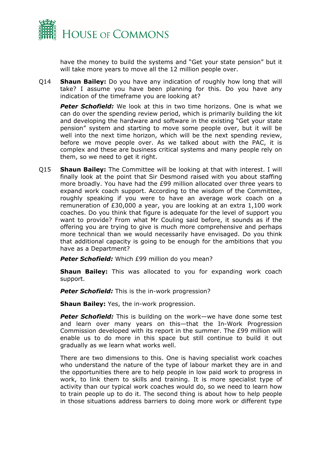

have the money to build the systems and "Get your state pension" but it will take more years to move all the 12 million people over.

Q14 **Shaun Bailey:** Do you have any indication of roughly how long that will take? I assume you have been planning for this. Do you have any indication of the timeframe you are looking at?

*Peter Schofield:* We look at this in two time horizons. One is what we can do over the spending review period, which is primarily building the kit and developing the hardware and software in the existing "Get your state pension" system and starting to move some people over, but it will be well into the next time horizon, which will be the next spending review, before we move people over. As we talked about with the PAC, it is complex and these are business critical systems and many people rely on them, so we need to get it right.

Q15 **Shaun Bailey:** The Committee will be looking at that with interest. I will finally look at the point that Sir Desmond raised with you about staffing more broadly. You have had the £99 million allocated over three years to expand work coach support. According to the wisdom of the Committee, roughly speaking if you were to have an average work coach on a remuneration of £30,000 a year, you are looking at an extra 1,100 work coaches. Do you think that figure is adequate for the level of support you want to provide? From what Mr Couling said before, it sounds as if the offering you are trying to give is much more comprehensive and perhaps more technical than we would necessarily have envisaged. Do you think that additional capacity is going to be enough for the ambitions that you have as a Department?

*Peter Schofield:* Which £99 million do you mean?

**Shaun Bailey:** This was allocated to you for expanding work coach support.

*Peter Schofield:* This is the in-work progression?

**Shaun Bailey:** Yes, the in-work progression.

*Peter Schofield:* This is building on the work—we have done some test and learn over many years on this—that the In-Work Progression Commission developed with its report in the summer. The £99 million will enable us to do more in this space but still continue to build it out gradually as we learn what works well.

There are two dimensions to this. One is having specialist work coaches who understand the nature of the type of labour market they are in and the opportunities there are to help people in low paid work to progress in work, to link them to skills and training. It is more specialist type of activity than our typical work coaches would do, so we need to learn how to train people up to do it. The second thing is about how to help people in those situations address barriers to doing more work or different type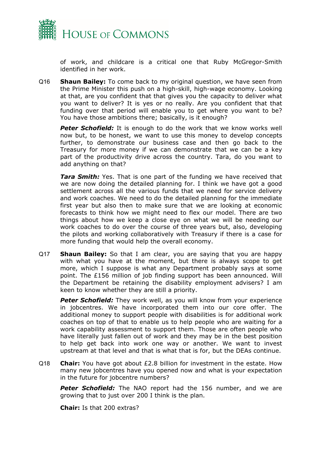

of work, and childcare is a critical one that Ruby McGregor-Smith identified in her work.

Q16 **Shaun Bailey:** To come back to my original question, we have seen from the Prime Minister this push on a high-skill, high-wage economy. Looking at that, are you confident that that gives you the capacity to deliver what you want to deliver? It is yes or no really. Are you confident that that funding over that period will enable you to get where you want to be? You have those ambitions there; basically, is it enough?

**Peter Schofield:** It is enough to do the work that we know works well now but, to be honest, we want to use this money to develop concepts further, to demonstrate our business case and then go back to the Treasury for more money if we can demonstrate that we can be a key part of the productivity drive across the country. Tara, do you want to add anything on that?

*Tara Smith:* Yes. That is one part of the funding we have received that we are now doing the detailed planning for. I think we have got a good settlement across all the various funds that we need for service delivery and work coaches. We need to do the detailed planning for the immediate first year but also then to make sure that we are looking at economic forecasts to think how we might need to flex our model. There are two things about how we keep a close eye on what we will be needing our work coaches to do over the course of three years but, also, developing the pilots and working collaboratively with Treasury if there is a case for more funding that would help the overall economy.

Q17 **Shaun Bailey:** So that I am clear, you are saying that you are happy with what you have at the moment, but there is always scope to get more, which I suppose is what any Department probably says at some point. The £156 million of job finding support has been announced. Will the Department be retaining the disability employment advisers? I am keen to know whether they are still a priority.

**Peter Schofield:** They work well, as you will know from your experience in jobcentres. We have incorporated them into our core offer. The additional money to support people with disabilities is for additional work coaches on top of that to enable us to help people who are waiting for a work capability assessment to support them. Those are often people who have literally just fallen out of work and they may be in the best position to help get back into work one way or another. We want to invest upstream at that level and that is what that is for, but the DEAs continue.

Q18 **Chair:** You have got about £2.8 billion for investment in the estate. How many new jobcentres have you opened now and what is your expectation in the future for jobcentre numbers?

**Peter Schofield:** The NAO report had the 156 number, and we are growing that to just over 200 I think is the plan.

**Chair:** Is that 200 extras?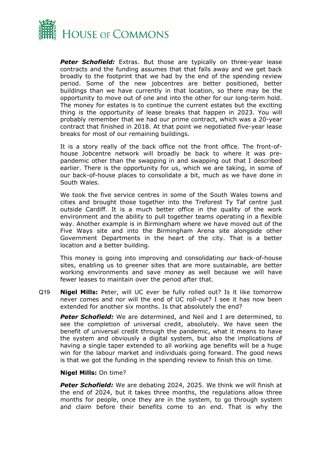

**Peter Schofield:** Extras. But those are typically on three-year lease contracts and the funding assumes that that falls away and we get back broadly to the footprint that we had by the end of the spending review period. Some of the new jobcentres are better positioned, better buildings than we have currently in that location, so there may be the opportunity to move out of one and into the other for our long-term hold. The money for estates is to continue the current estates but the exciting thing is the opportunity of lease breaks that happen in 2023. You will probably remember that we had our prime contract, which was a 20-year contract that finished in 2018. At that point we negotiated five-year lease breaks for most of our remaining buildings.

It is a story really of the back office not the front office. The front-ofhouse Jobcentre network will broadly be back to where it was prepandemic other than the swapping in and swapping out that I described earlier. There is the opportunity for us, which we are taking, in some of our back-of-house places to consolidate a bit, much as we have done in South Wales.

We took the five service centres in some of the South Wales towns and cities and brought those together into the Treforest Ty Taf centre just outside Cardiff. It is a much better office in the quality of the work environment and the ability to pull together teams operating in a flexible way. Another example is in Birmingham where we have moved out of the Five Ways site and into the Birmingham Arena site alongside other Government Departments in the heart of the city. That is a better location and a better building.

This money is going into improving and consolidating our back-of-house sites, enabling us to greener sites that are more sustainable, are better working environments and save money as well because we will have fewer leases to maintain over the period after that.

Q19 **Nigel Mills:** Peter, will UC ever be fully rolled out? Is it like tomorrow never comes and nor will the end of UC roll-out? I see it has now been extended for another six months. Is that absolutely the end?

*Peter Schofield:* We are determined, and Neil and I are determined, to see the completion of universal credit, absolutely. We have seen the benefit of universal credit through the pandemic, what it means to have the system and obviously a digital system, but also the implications of having a single taper extended to all working age benefits will be a huge win for the labour market and individuals going forward. The good news is that we got the funding in the spending review to finish this on time.

#### **Nigel Mills:** On time?

*Peter Schofield:* We are debating 2024, 2025. We think we will finish at the end of 2024, but it takes three months, the regulations allow three months for people, once they are in the system, to go through system and claim before their benefits come to an end. That is why the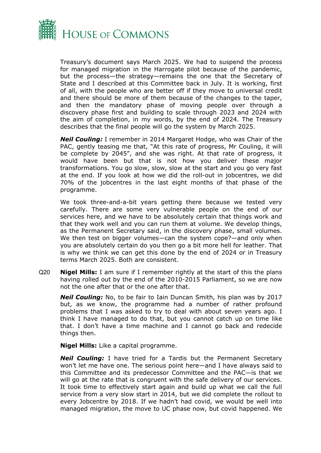

Treasury's document says March 2025. We had to suspend the process for managed migration in the Harrogate pilot because of the pandemic, but the process—the strategy—remains the one that the Secretary of State and I described at this Committee back in July. It is working, first of all, with the people who are better off if they move to universal credit and there should be more of them because of the changes to the taper, and then the mandatory phase of moving people over through a discovery phase first and building to scale through 2023 and 2024 with the aim of completion, in my words, by the end of 2024. The Treasury describes that the final people will go the system by March 2025.

*Neil Couling:* I remember in 2014 Margaret Hodge, who was Chair of the PAC, gently teasing me that, "At this rate of progress, Mr Couling, it will be complete by 2045", and she was right. At that rate of progress, it would have been but that is not how you deliver these major transformations. You go slow, slow, slow at the start and you go very fast at the end. If you look at how we did the roll-out in jobcentres, we did 70% of the jobcentres in the last eight months of that phase of the programme.

We took three-and-a-bit years getting there because we tested very carefully. There are some very vulnerable people on the end of our services here, and we have to be absolutely certain that things work and that they work well and you can run them at volume. We develop things, as the Permanent Secretary said, in the discovery phase, small volumes. We then test on bigger volumes—can the system cope?—and only when you are absolutely certain do you then go a bit more hell for leather. That is why we think we can get this done by the end of 2024 or in Treasury terms March 2025. Both are consistent.

Q20 **Nigel Mills:** I am sure if I remember rightly at the start of this the plans having rolled out by the end of the 2010-2015 Parliament, so we are now not the one after that or the one after that.

*Neil Couling:* No, to be fair to Iain Duncan Smith, his plan was by 2017 but, as we know, the programme had a number of rather profound problems that I was asked to try to deal with about seven years ago. I think I have managed to do that, but you cannot catch up on time like that. I don't have a time machine and I cannot go back and redecide things then.

**Nigel Mills:** Like a capital programme.

*Neil Couling:* I have tried for a Tardis but the Permanent Secretary won't let me have one. The serious point here—and I have always said to this Committee and its predecessor Committee and the PAC—is that we will go at the rate that is congruent with the safe delivery of our services. It took time to effectively start again and build up what we call the full service from a very slow start in 2014, but we did complete the rollout to every Jobcentre by 2018. If we hadn't had covid, we would be well into managed migration, the move to UC phase now, but covid happened. We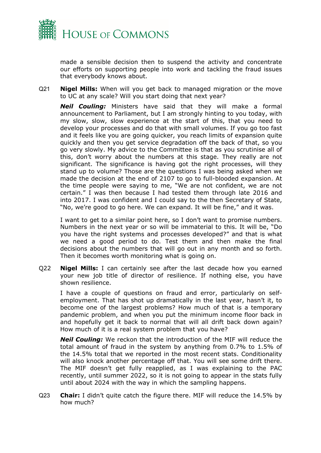

made a sensible decision then to suspend the activity and concentrate our efforts on supporting people into work and tackling the fraud issues that everybody knows about.

Q21 **Nigel Mills:** When will you get back to managed migration or the move to UC at any scale? Will you start doing that next year?

*Neil Couling:* Ministers have said that they will make a formal announcement to Parliament, but I am strongly hinting to you today, with my slow, slow, slow experience at the start of this, that you need to develop your processes and do that with small volumes. If you go too fast and it feels like you are going quicker, you reach limits of expansion quite quickly and then you get service degradation off the back of that, so you go very slowly. My advice to the Committee is that as you scrutinise all of this, don't worry about the numbers at this stage. They really are not significant. The significance is having got the right processes, will they stand up to volume? Those are the questions I was being asked when we made the decision at the end of 2107 to go to full-blooded expansion. At the time people were saying to me, "We are not confident, we are not certain." I was then because I had tested them through late 2016 and into 2017. I was confident and I could say to the then Secretary of State, "No, we're good to go here. We can expand. It will be fine," and it was.

I want to get to a similar point here, so I don't want to promise numbers. Numbers in the next year or so will be immaterial to this. It will be, "Do you have the right systems and processes developed?" and that is what we need a good period to do. Test them and then make the final decisions about the numbers that will go out in any month and so forth. Then it becomes worth monitoring what is going on.

Q22 **Nigel Mills:** I can certainly see after the last decade how you earned your new job title of director of resilience. If nothing else, you have shown resilience.

I have a couple of questions on fraud and error, particularly on selfemployment. That has shot up dramatically in the last year, hasn't it, to become one of the largest problems? How much of that is a temporary pandemic problem, and when you put the minimum income floor back in and hopefully get it back to normal that will all drift back down again? How much of it is a real system problem that you have?

*Neil Couling:* We reckon that the introduction of the MIF will reduce the total amount of fraud in the system by anything from 0.7% to 1.5% of the 14.5% total that we reported in the most recent stats. Conditionality will also knock another percentage off that. You will see some drift there. The MIF doesn't get fully reapplied, as I was explaining to the PAC recently, until summer 2022, so it is not going to appear in the stats fully until about 2024 with the way in which the sampling happens.

Q23 **Chair:** I didn't quite catch the figure there. MIF will reduce the 14.5% by how much?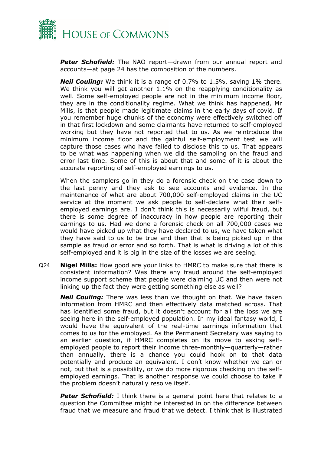

*Peter Schofield:* The NAO report—drawn from our annual report and accounts—at page 24 has the composition of the numbers.

*Neil Couling:* We think it is a range of 0.7% to 1.5%, saving 1% there. We think you will get another 1.1% on the reapplying conditionality as well. Some self-employed people are not in the minimum income floor, they are in the conditionality regime. What we think has happened, Mr Mills, is that people made legitimate claims in the early days of covid. If you remember huge chunks of the economy were effectively switched off in that first lockdown and some claimants have returned to self-employed working but they have not reported that to us. As we reintroduce the minimum income floor and the gainful self-employment test we will capture those cases who have failed to disclose this to us. That appears to be what was happening when we did the sampling on the fraud and error last time. Some of this is about that and some of it is about the accurate reporting of self-employed earnings to us.

When the samplers go in they do a forensic check on the case down to the last penny and they ask to see accounts and evidence. In the maintenance of what are about 700,000 self-employed claims in the UC service at the moment we ask people to self-declare what their selfemployed earnings are. I don't think this is necessarily wilful fraud, but there is some degree of inaccuracy in how people are reporting their earnings to us. Had we done a forensic check on all 700,000 cases we would have picked up what they have declared to us, we have taken what they have said to us to be true and then that is being picked up in the sample as fraud or error and so forth. That is what is driving a lot of this self-employed and it is big in the size of the losses we are seeing.

Q24 **Nigel Mills:** How good are your links to HMRC to make sure that there is consistent information? Was there any fraud around the self-employed income support scheme that people were claiming UC and then were not linking up the fact they were getting something else as well?

*Neil Couling:* There was less than we thought on that. We have taken information from HMRC and then effectively data matched across. That has identified some fraud, but it doesn't account for all the loss we are seeing here in the self-employed population. In my ideal fantasy world, I would have the equivalent of the real-time earnings information that comes to us for the employed. As the Permanent Secretary was saying to an earlier question, if HMRC completes on its move to asking selfemployed people to report their income three-monthly—quarterly—rather than annually, there is a chance you could hook on to that data potentially and produce an equivalent. I don't know whether we can or not, but that is a possibility, or we do more rigorous checking on the selfemployed earnings. That is another response we could choose to take if the problem doesn't naturally resolve itself.

**Peter Schofield:** I think there is a general point here that relates to a question the Committee might be interested in on the difference between fraud that we measure and fraud that we detect. I think that is illustrated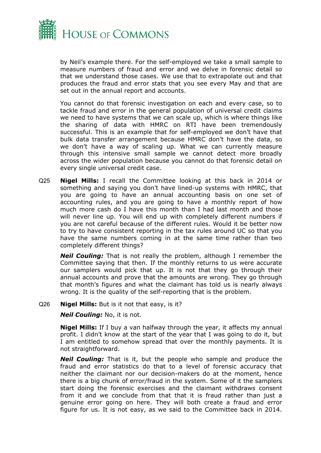

by Neil's example there. For the self-employed we take a small sample to measure numbers of fraud and error and we delve in forensic detail so that we understand those cases. We use that to extrapolate out and that produces the fraud and error stats that you see every May and that are set out in the annual report and accounts.

You cannot do that forensic investigation on each and every case, so to tackle fraud and error in the general population of universal credit claims we need to have systems that we can scale up, which is where things like the sharing of data with HMRC on RTI have been tremendously successful. This is an example that for self-employed we don't have that bulk data transfer arrangement because HMRC don't have the data, so we don't have a way of scaling up. What we can currently measure through this intensive small sample we cannot detect more broadly across the wider population because you cannot do that forensic detail on every single universal credit case.

Q25 **Nigel Mills:** I recall the Committee looking at this back in 2014 or something and saying you don't have lined-up systems with HMRC, that you are going to have an annual accounting basis on one set of accounting rules, and you are going to have a monthly report of how much more cash do I have this month than I had last month and those will never line up. You will end up with completely different numbers if you are not careful because of the different rules. Would it be better now to try to have consistent reporting in the tax rules around UC so that you have the same numbers coming in at the same time rather than two completely different things?

*Neil Couling:* That is not really the problem, although I remember the Committee saying that then. If the monthly returns to us were accurate our samplers would pick that up. It is not that they go through their annual accounts and prove that the amounts are wrong. They go through that month's figures and what the claimant has told us is nearly always wrong. It is the quality of the self-reporting that is the problem.

#### Q26 **Nigel Mills:** But is it not that easy, is it?

*Neil Couling:* No, it is not.

**Nigel Mills:** If I buy a van halfway through the year, it affects my annual profit. I didn't know at the start of the year that I was going to do it, but I am entitled to somehow spread that over the monthly payments. It is not straightforward.

*Neil Couling:* That is it, but the people who sample and produce the fraud and error statistics do that to a level of forensic accuracy that neither the claimant nor our decision-makers do at the moment, hence there is a big chunk of error/fraud in the system. Some of it the samplers start doing the forensic exercises and the claimant withdraws consent from it and we conclude from that that it is fraud rather than just a genuine error going on here. They will both create a fraud and error figure for us. It is not easy, as we said to the Committee back in 2014.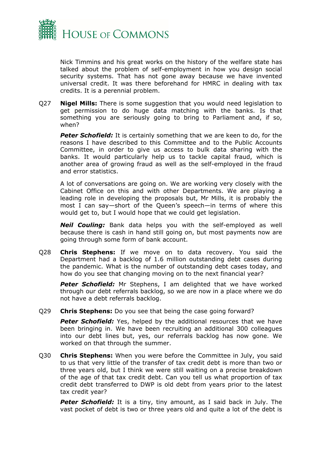

Nick Timmins and his great works on the history of the welfare state has talked about the problem of self-employment in how you design social security systems. That has not gone away because we have invented universal credit. It was there beforehand for HMRC in dealing with tax credits. It is a perennial problem.

Q27 **Nigel Mills:** There is some suggestion that you would need legislation to get permission to do huge data matching with the banks. Is that something you are seriously going to bring to Parliament and, if so, when?

*Peter Schofield:* It is certainly something that we are keen to do, for the reasons I have described to this Committee and to the Public Accounts Committee, in order to give us access to bulk data sharing with the banks. It would particularly help us to tackle capital fraud, which is another area of growing fraud as well as the self-employed in the fraud and error statistics.

A lot of conversations are going on. We are working very closely with the Cabinet Office on this and with other Departments. We are playing a leading role in developing the proposals but, Mr Mills, it is probably the most I can say—short of the Queen's speech—in terms of where this would get to, but I would hope that we could get legislation.

*Neil Couling:* Bank data helps you with the self-employed as well because there is cash in hand still going on, but most payments now are going through some form of bank account.

Q28 **Chris Stephens:** If we move on to data recovery. You said the Department had a backlog of 1.6 million outstanding debt cases during the pandemic. What is the number of outstanding debt cases today, and how do you see that changing moving on to the next financial year?

**Peter Schofield:** Mr Stephens, I am delighted that we have worked through our debt referrals backlog, so we are now in a place where we do not have a debt referrals backlog.

Q29 **Chris Stephens:** Do you see that being the case going forward?

**Peter Schofield:** Yes, helped by the additional resources that we have been bringing in. We have been recruiting an additional 300 colleagues into our debt lines but, yes, our referrals backlog has now gone. We worked on that through the summer.

Q30 **Chris Stephens:** When you were before the Committee in July, you said to us that very little of the transfer of tax credit debt is more than two or three years old, but I think we were still waiting on a precise breakdown of the age of that tax credit debt. Can you tell us what proportion of tax credit debt transferred to DWP is old debt from years prior to the latest tax credit year?

**Peter Schofield:** It is a tiny, tiny amount, as I said back in July. The vast pocket of debt is two or three years old and quite a lot of the debt is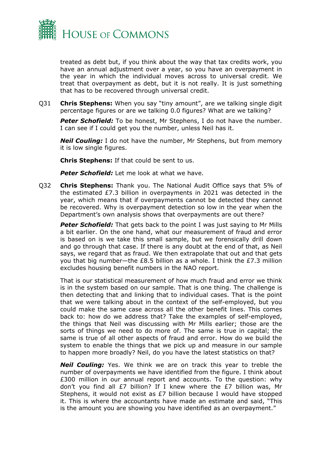

treated as debt but, if you think about the way that tax credits work, you have an annual adjustment over a year, so you have an overpayment in the year in which the individual moves across to universal credit. We treat that overpayment as debt, but it is not really. It is just something that has to be recovered through universal credit.

Q31 **Chris Stephens:** When you say "tiny amount", are we talking single digit percentage figures or are we talking 0.0 figures? What are we talking?

*Peter Schofield:* To be honest, Mr Stephens, I do not have the number. I can see if I could get you the number, unless Neil has it.

*Neil Couling:* I do not have the number, Mr Stephens, but from memory it is low single figures.

**Chris Stephens:** If that could be sent to us.

**Peter Schofield:** Let me look at what we have.

Q32 **Chris Stephens:** Thank you. The National Audit Office says that 5% of the estimated £7.3 billion in overpayments in 2021 was detected in the year, which means that if overpayments cannot be detected they cannot be recovered. Why is overpayment detection so low in the year when the Department's own analysis shows that overpayments are out there?

*Peter Schofield:* That gets back to the point I was just saying to Mr Mills a bit earlier. On the one hand, what our measurement of fraud and error is based on is we take this small sample, but we forensically drill down and go through that case. If there is any doubt at the end of that, as Neil says, we regard that as fraud. We then extrapolate that out and that gets you that big number—the £8.5 billion as a whole. I think the £7.3 million excludes housing benefit numbers in the NAO report.

That is our statistical measurement of how much fraud and error we think is in the system based on our sample. That is one thing. The challenge is then detecting that and linking that to individual cases. That is the point that we were talking about in the context of the self-employed, but you could make the same case across all the other benefit lines. This comes back to: how do we address that? Take the examples of self-employed, the things that Neil was discussing with Mr Mills earlier; those are the sorts of things we need to do more of. The same is true in capital; the same is true of all other aspects of fraud and error. How do we build the system to enable the things that we pick up and measure in our sample to happen more broadly? Neil, do you have the latest statistics on that?

*Neil Couling:* Yes. We think we are on track this year to treble the number of overpayments we have identified from the figure. I think about £300 million in our annual report and accounts. To the question: why don't you find all £7 billion? If I knew where the £7 billion was, Mr Stephens, it would not exist as £7 billion because I would have stopped it. This is where the accountants have made an estimate and said, "This is the amount you are showing you have identified as an overpayment."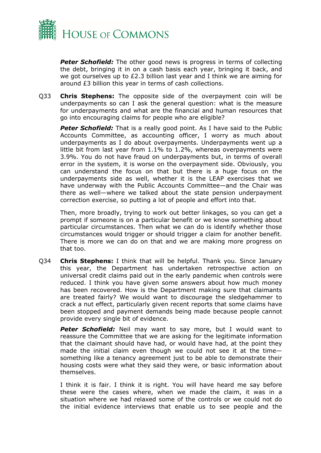

**Peter Schofield:** The other good news is progress in terms of collecting the debt, bringing it in on a cash basis each year, bringing it back, and we got ourselves up to £2.3 billion last year and I think we are aiming for around £3 billion this year in terms of cash collections.

Q33 **Chris Stephens:** The opposite side of the overpayment coin will be underpayments so can I ask the general question: what is the measure for underpayments and what are the financial and human resources that go into encouraging claims for people who are eligible?

*Peter Schofield:* That is a really good point. As I have said to the Public Accounts Committee, as accounting officer, I worry as much about underpayments as I do about overpayments. Underpayments went up a little bit from last year from 1.1% to 1.2%, whereas overpayments were 3.9%. You do not have fraud on underpayments but, in terms of overall error in the system, it is worse on the overpayment side. Obviously, you can understand the focus on that but there is a huge focus on the underpayments side as well, whether it is the LEAP exercises that we have underway with the Public Accounts Committee—and the Chair was there as well—where we talked about the state pension underpayment correction exercise, so putting a lot of people and effort into that.

Then, more broadly, trying to work out better linkages, so you can get a prompt if someone is on a particular benefit or we know something about particular circumstances. Then what we can do is identify whether those circumstances would trigger or should trigger a claim for another benefit. There is more we can do on that and we are making more progress on that too.

Q34 **Chris Stephens:** I think that will be helpful. Thank you. Since January this year, the Department has undertaken retrospective action on universal credit claims paid out in the early pandemic when controls were reduced. I think you have given some answers about how much money has been recovered. How is the Department making sure that claimants are treated fairly? We would want to discourage the sledgehammer to crack a nut effect, particularly given recent reports that some claims have been stopped and payment demands being made because people cannot provide every single bit of evidence.

**Peter Schofield:** Neil may want to say more, but I would want to reassure the Committee that we are asking for the legitimate information that the claimant should have had, or would have had, at the point they made the initial claim even though we could not see it at the time something like a tenancy agreement just to be able to demonstrate their housing costs were what they said they were, or basic information about themselves.

I think it is fair. I think it is right. You will have heard me say before these were the cases where, when we made the claim, it was in a situation where we had relaxed some of the controls or we could not do the initial evidence interviews that enable us to see people and the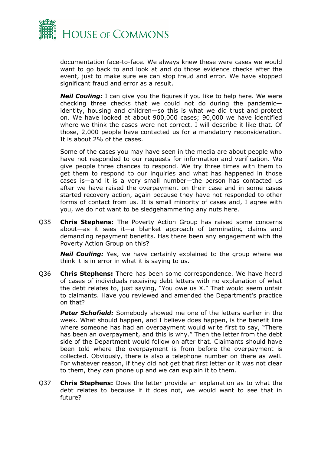

documentation face-to-face. We always knew these were cases we would want to go back to and look at and do those evidence checks after the event, just to make sure we can stop fraud and error. We have stopped significant fraud and error as a result.

*Neil Couling:* I can give you the figures if you like to help here. We were checking three checks that we could not do during the pandemic identity, housing and children—so this is what we did trust and protect on. We have looked at about 900,000 cases; 90,000 we have identified where we think the cases were not correct. I will describe it like that. Of those, 2,000 people have contacted us for a mandatory reconsideration. It is about 2% of the cases.

Some of the cases you may have seen in the media are about people who have not responded to our requests for information and verification. We give people three chances to respond. We try three times with them to get them to respond to our inquiries and what has happened in those cases is—and it is a very small number—the person has contacted us after we have raised the overpayment on their case and in some cases started recovery action, again because they have not responded to other forms of contact from us. It is small minority of cases and, I agree with you, we do not want to be sledgehammering any nuts here.

Q35 **Chris Stephens:** The Poverty Action Group has raised some concerns about—as it sees it—a blanket approach of terminating claims and demanding repayment benefits. Has there been any engagement with the Poverty Action Group on this?

*Neil Couling:* Yes, we have certainly explained to the group where we think it is in error in what it is saying to us.

Q36 **Chris Stephens:** There has been some correspondence. We have heard of cases of individuals receiving debt letters with no explanation of what the debt relates to, just saying, "You owe us X." That would seem unfair to claimants. Have you reviewed and amended the Department's practice on that?

*Peter Schofield:* Somebody showed me one of the letters earlier in the week. What should happen, and I believe does happen, is the benefit line where someone has had an overpayment would write first to say, "There has been an overpayment, and this is why." Then the letter from the debt side of the Department would follow on after that. Claimants should have been told where the overpayment is from before the overpayment is collected. Obviously, there is also a telephone number on there as well. For whatever reason, if they did not get that first letter or it was not clear to them, they can phone up and we can explain it to them.

Q37 **Chris Stephens:** Does the letter provide an explanation as to what the debt relates to because if it does not, we would want to see that in future?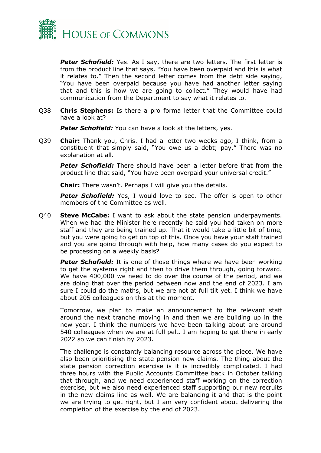

**Peter Schofield:** Yes. As I say, there are two letters. The first letter is from the product line that says, "You have been overpaid and this is what it relates to." Then the second letter comes from the debt side saying, "You have been overpaid because you have had another letter saying that and this is how we are going to collect." They would have had communication from the Department to say what it relates to.

Q38 **Chris Stephens:** Is there a pro forma letter that the Committee could have a look at?

**Peter Schofield:** You can have a look at the letters, yes.

Q39 **Chair:** Thank you, Chris. I had a letter two weeks ago, I think, from a constituent that simply said, "You owe us a debt; pay." There was no explanation at all.

*Peter Schofield:* There should have been a letter before that from the product line that said, "You have been overpaid your universal credit."

**Chair:** There wasn't. Perhaps I will give you the details.

**Peter Schofield:** Yes, I would love to see. The offer is open to other members of the Committee as well.

Q40 **Steve McCabe:** I want to ask about the state pension underpayments. When we had the Minister here recently he said you had taken on more staff and they are being trained up. That it would take a little bit of time, but you were going to get on top of this. Once you have your staff trained and you are going through with help, how many cases do you expect to be processing on a weekly basis?

**Peter Schofield:** It is one of those things where we have been working to get the systems right and then to drive them through, going forward. We have 400,000 we need to do over the course of the period, and we are doing that over the period between now and the end of 2023. I am sure I could do the maths, but we are not at full tilt yet. I think we have about 205 colleagues on this at the moment.

Tomorrow, we plan to make an announcement to the relevant staff around the next tranche moving in and then we are building up in the new year. I think the numbers we have been talking about are around 540 colleagues when we are at full pelt. I am hoping to get there in early 2022 so we can finish by 2023.

The challenge is constantly balancing resource across the piece. We have also been prioritising the state pension new claims. The thing about the state pension correction exercise is it is incredibly complicated. I had three hours with the Public Accounts Committee back in October talking that through, and we need experienced staff working on the correction exercise, but we also need experienced staff supporting our new recruits in the new claims line as well. We are balancing it and that is the point we are trying to get right, but I am very confident about delivering the completion of the exercise by the end of 2023.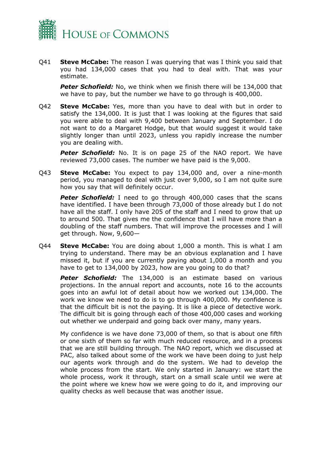

Q41 **Steve McCabe:** The reason I was querying that was I think you said that you had 134,000 cases that you had to deal with. That was your estimate.

**Peter Schofield:** No, we think when we finish there will be 134,000 that we have to pay, but the number we have to go through is 400,000.

Q42 **Steve McCabe:** Yes, more than you have to deal with but in order to satisfy the 134,000. It is just that I was looking at the figures that said you were able to deal with 9,400 between January and September. I do not want to do a Margaret Hodge, but that would suggest it would take slightly longer than until 2023, unless you rapidly increase the number you are dealing with.

**Peter Schofield:** No. It is on page 25 of the NAO report. We have reviewed 73,000 cases. The number we have paid is the 9,000.

Q43 **Steve McCabe:** You expect to pay 134,000 and, over a nine-month period, you managed to deal with just over 9,000, so I am not quite sure how you say that will definitely occur.

**Peter Schofield:** I need to go through 400,000 cases that the scans have identified. I have been through 73,000 of those already but I do not have all the staff. I only have 205 of the staff and I need to grow that up to around 500. That gives me the confidence that I will have more than a doubling of the staff numbers. That will improve the processes and I will get through. Now, 9,600—

Q44 **Steve McCabe:** You are doing about 1,000 a month. This is what I am trying to understand. There may be an obvious explanation and I have missed it, but if you are currently paying about 1,000 a month and you have to get to 134,000 by 2023, how are you going to do that?

**Peter Schofield:** The 134,000 is an estimate based on various projections. In the annual report and accounts, note 16 to the accounts goes into an awful lot of detail about how we worked out 134,000. The work we know we need to do is to go through 400,000. My confidence is that the difficult bit is not the paying. It is like a piece of detective work. The difficult bit is going through each of those 400,000 cases and working out whether we underpaid and going back over many, many years.

My confidence is we have done 73,000 of them, so that is about one fifth or one sixth of them so far with much reduced resource, and in a process that we are still building through. The NAO report, which we discussed at PAC, also talked about some of the work we have been doing to just help our agents work through and do the system. We had to develop the whole process from the start. We only started in January: we start the whole process, work it through, start on a small scale until we were at the point where we knew how we were going to do it, and improving our quality checks as well because that was another issue.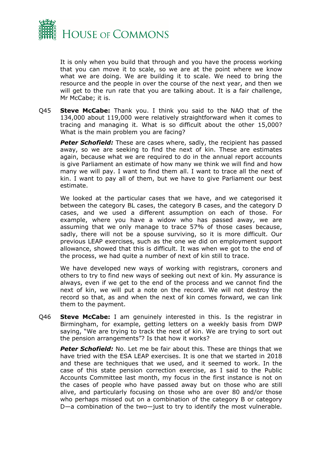

It is only when you build that through and you have the process working that you can move it to scale, so we are at the point where we know what we are doing. We are building it to scale. We need to bring the resource and the people in over the course of the next year, and then we will get to the run rate that you are talking about. It is a fair challenge, Mr McCabe; it is.

Q45 **Steve McCabe:** Thank you. I think you said to the NAO that of the 134,000 about 119,000 were relatively straightforward when it comes to tracing and managing it. What is so difficult about the other 15,000? What is the main problem you are facing?

**Peter Schofield:** These are cases where, sadly, the recipient has passed away, so we are seeking to find the next of kin. These are estimates again, because what we are required to do in the annual report accounts is give Parliament an estimate of how many we think we will find and how many we will pay. I want to find them all. I want to trace all the next of kin. I want to pay all of them, but we have to give Parliament our best estimate.

We looked at the particular cases that we have, and we categorised it between the category BL cases, the category B cases, and the category D cases, and we used a different assumption on each of those. For example, where you have a widow who has passed away, we are assuming that we only manage to trace 57% of those cases because, sadly, there will not be a spouse surviving, so it is more difficult. Our previous LEAP exercises, such as the one we did on employment support allowance, showed that this is difficult. It was when we got to the end of the process, we had quite a number of next of kin still to trace.

We have developed new ways of working with registrars, coroners and others to try to find new ways of seeking out next of kin. My assurance is always, even if we get to the end of the process and we cannot find the next of kin, we will put a note on the record. We will not destroy the record so that, as and when the next of kin comes forward, we can link them to the payment.

Q46 **Steve McCabe:** I am genuinely interested in this. Is the registrar in Birmingham, for example, getting letters on a weekly basis from DWP saying, "We are trying to track the next of kin. We are trying to sort out the pension arrangements"? Is that how it works?

**Peter Schofield:** No. Let me be fair about this. These are things that we have tried with the ESA LEAP exercises. It is one that we started in 2018 and these are techniques that we used, and it seemed to work. In the case of this state pension correction exercise, as I said to the Public Accounts Committee last month, my focus in the first instance is not on the cases of people who have passed away but on those who are still alive, and particularly focusing on those who are over 80 and/or those who perhaps missed out on a combination of the category B or category D—a combination of the two—just to try to identify the most vulnerable.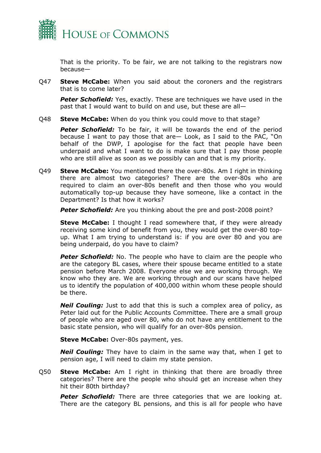

That is the priority. To be fair, we are not talking to the registrars now because—

Q47 **Steve McCabe:** When you said about the coroners and the registrars that is to come later?

*Peter Schofield:* Yes, exactly. These are techniques we have used in the past that I would want to build on and use, but these are all—

Q48 **Steve McCabe:** When do you think you could move to that stage?

*Peter Schofield:* To be fair, it will be towards the end of the period because I want to pay those that are— Look, as I said to the PAC, "On behalf of the DWP, I apologise for the fact that people have been underpaid and what I want to do is make sure that I pay those people who are still alive as soon as we possibly can and that is my priority.

Q49 **Steve McCabe:** You mentioned there the over-80s. Am I right in thinking there are almost two categories? There are the over-80s who are required to claim an over-80s benefit and then those who you would automatically top-up because they have someone, like a contact in the Department? Is that how it works?

*Peter Schofield:* Are you thinking about the pre and post-2008 point?

**Steve McCabe:** I thought I read somewhere that, if they were already receiving some kind of benefit from you, they would get the over-80 topup. What I am trying to understand is: if you are over 80 and you are being underpaid, do you have to claim?

**Peter Schofield:** No. The people who have to claim are the people who are the category BL cases, where their spouse became entitled to a state pension before March 2008. Everyone else we are working through. We know who they are. We are working through and our scans have helped us to identify the population of 400,000 within whom these people should be there.

*Neil Couling:* Just to add that this is such a complex area of policy, as Peter laid out for the Public Accounts Committee. There are a small group of people who are aged over 80, who do not have any entitlement to the basic state pension, who will qualify for an over-80s pension.

**Steve McCabe:** Over-80s payment, yes.

*Neil Couling:* They have to claim in the same way that, when I get to pension age, I will need to claim my state pension.

Q50 **Steve McCabe:** Am I right in thinking that there are broadly three categories? There are the people who should get an increase when they hit their 80th birthday?

**Peter Schofield:** There are three categories that we are looking at. There are the category BL pensions, and this is all for people who have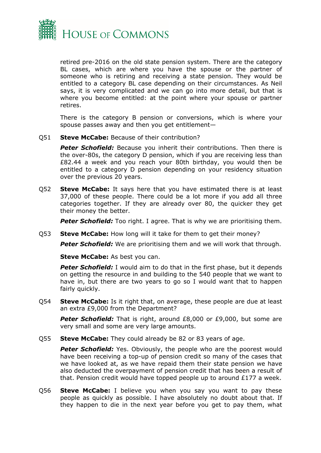

retired pre-2016 on the old state pension system. There are the category BL cases, which are where you have the spouse or the partner of someone who is retiring and receiving a state pension. They would be entitled to a category BL case depending on their circumstances. As Neil says, it is very complicated and we can go into more detail, but that is where you become entitled: at the point where your spouse or partner retires.

There is the category B pension or conversions, which is where your spouse passes away and then you get entitlement—

Q51 **Steve McCabe:** Because of their contribution?

*Peter Schofield:* Because you inherit their contributions. Then there is the over-80s, the category D pension, which if you are receiving less than £82.44 a week and you reach your 80th birthday, you would then be entitled to a category D pension depending on your residency situation over the previous 20 years.

Q52 **Steve McCabe:** It says here that you have estimated there is at least 37,000 of these people. There could be a lot more if you add all three categories together. If they are already over 80, the quicker they get their money the better.

**Peter Schofield:** Too right. I agree. That is why we are prioritising them.

Q53 **Steve McCabe:** How long will it take for them to get their money?

*Peter Schofield:* We are prioritising them and we will work that through.

**Steve McCabe:** As best you can.

*Peter Schofield:* I would aim to do that in the first phase, but it depends on getting the resource in and building to the 540 people that we want to have in, but there are two years to go so I would want that to happen fairly quickly.

Q54 **Steve McCabe:** Is it right that, on average, these people are due at least an extra £9,000 from the Department?

**Peter Schofield:** That is right, around £8,000 or £9,000, but some are very small and some are very large amounts.

Q55 **Steve McCabe:** They could already be 82 or 83 years of age.

**Peter Schofield:** Yes. Obviously, the people who are the poorest would have been receiving a top-up of pension credit so many of the cases that we have looked at, as we have repaid them their state pension we have also deducted the overpayment of pension credit that has been a result of that. Pension credit would have topped people up to around £177 a week.

Q56 **Steve McCabe:** I believe you when you say you want to pay these people as quickly as possible. I have absolutely no doubt about that. If they happen to die in the next year before you get to pay them, what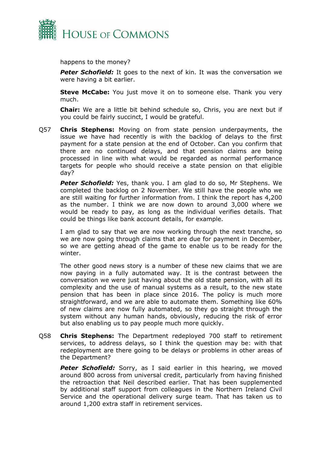

happens to the money?

**Peter Schofield:** It goes to the next of kin. It was the conversation we were having a bit earlier.

**Steve McCabe:** You just move it on to someone else. Thank you very much.

**Chair:** We are a little bit behind schedule so, Chris, you are next but if you could be fairly succinct, I would be grateful.

Q57 **Chris Stephens:** Moving on from state pension underpayments, the issue we have had recently is with the backlog of delays to the first payment for a state pension at the end of October. Can you confirm that there are no continued delays, and that pension claims are being processed in line with what would be regarded as normal performance targets for people who should receive a state pension on that eligible day?

**Peter Schofield:** Yes, thank you. I am glad to do so, Mr Stephens. We completed the backlog on 2 November. We still have the people who we are still waiting for further information from. I think the report has 4,200 as the number. I think we are now down to around 3,000 where we would be ready to pay, as long as the individual verifies details. That could be things like bank account details, for example.

I am glad to say that we are now working through the next tranche, so we are now going through claims that are due for payment in December, so we are getting ahead of the game to enable us to be ready for the winter.

The other good news story is a number of these new claims that we are now paying in a fully automated way. It is the contrast between the conversation we were just having about the old state pension, with all its complexity and the use of manual systems as a result, to the new state pension that has been in place since 2016. The policy is much more straightforward, and we are able to automate them. Something like 60% of new claims are now fully automated, so they go straight through the system without any human hands, obviously, reducing the risk of error but also enabling us to pay people much more quickly.

Q58 **Chris Stephens:** The Department redeployed 700 staff to retirement services, to address delays, so I think the question may be: with that redeployment are there going to be delays or problems in other areas of the Department?

*Peter Schofield:* Sorry, as I said earlier in this hearing, we moved around 800 across from universal credit, particularly from having finished the retroaction that Neil described earlier. That has been supplemented by additional staff support from colleagues in the Northern Ireland Civil Service and the operational delivery surge team. That has taken us to around 1,200 extra staff in retirement services.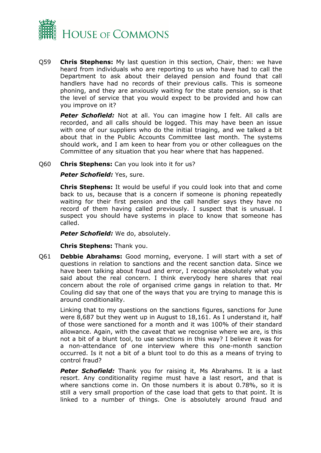

Q59 **Chris Stephens:** My last question in this section, Chair, then: we have heard from individuals who are reporting to us who have had to call the Department to ask about their delayed pension and found that call handlers have had no records of their previous calls. This is someone phoning, and they are anxiously waiting for the state pension, so is that the level of service that you would expect to be provided and how can you improve on it?

*Peter Schofield:* Not at all. You can imagine how I felt. All calls are recorded, and all calls should be logged. This may have been an issue with one of our suppliers who do the initial triaging, and we talked a bit about that in the Public Accounts Committee last month. The systems should work, and I am keen to hear from you or other colleagues on the Committee of any situation that you hear where that has happened.

Q60 **Chris Stephens:** Can you look into it for us?

**Peter Schofield: Yes, sure.** 

**Chris Stephens:** It would be useful if you could look into that and come back to us, because that is a concern if someone is phoning repeatedly waiting for their first pension and the call handler says they have no record of them having called previously. I suspect that is unusual. I suspect you should have systems in place to know that someone has called.

*Peter Schofield:* We do, absolutely.

**Chris Stephens:** Thank you.

Q61 **Debbie Abrahams:** Good morning, everyone. I will start with a set of questions in relation to sanctions and the recent sanction data. Since we have been talking about fraud and error, I recognise absolutely what you said about the real concern. I think everybody here shares that real concern about the role of organised crime gangs in relation to that. Mr Couling did say that one of the ways that you are trying to manage this is around conditionality.

Linking that to my questions on the sanctions figures, sanctions for June were 8,687 but they went up in August to 18,161. As I understand it, half of those were sanctioned for a month and it was 100% of their standard allowance. Again, with the caveat that we recognise where we are, is this not a bit of a blunt tool, to use sanctions in this way? I believe it was for a non-attendance of one interview where this one-month sanction occurred. Is it not a bit of a blunt tool to do this as a means of trying to control fraud?

**Peter Schofield:** Thank you for raising it, Ms Abrahams. It is a last resort. Any conditionality regime must have a last resort, and that is where sanctions come in. On those numbers it is about 0.78%, so it is still a very small proportion of the case load that gets to that point. It is linked to a number of things. One is absolutely around fraud and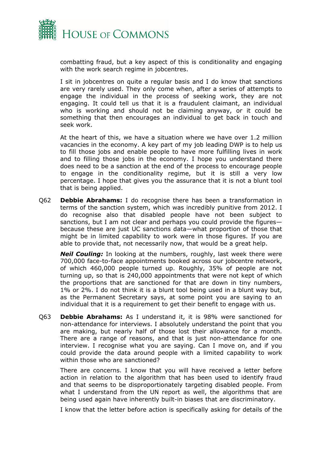

combatting fraud, but a key aspect of this is conditionality and engaging with the work search regime in jobcentres.

I sit in jobcentres on quite a regular basis and I do know that sanctions are very rarely used. They only come when, after a series of attempts to engage the individual in the process of seeking work, they are not engaging. It could tell us that it is a fraudulent claimant, an individual who is working and should not be claiming anyway, or it could be something that then encourages an individual to get back in touch and seek work.

At the heart of this, we have a situation where we have over 1.2 million vacancies in the economy. A key part of my job leading DWP is to help us to fill those jobs and enable people to have more fulfilling lives in work and to filling those jobs in the economy. I hope you understand there does need to be a sanction at the end of the process to encourage people to engage in the conditionality regime, but it is still a very low percentage. I hope that gives you the assurance that it is not a blunt tool that is being applied.

Q62 **Debbie Abrahams:** I do recognise there has been a transformation in terms of the sanction system, which was incredibly punitive from 2012. I do recognise also that disabled people have not been subject to sanctions, but I am not clear and perhaps you could provide the figuresbecause these are just UC sanctions data—what proportion of those that might be in limited capability to work were in those figures. If you are able to provide that, not necessarily now, that would be a great help.

*Neil Couling:* In looking at the numbers, roughly, last week there were 700,000 face-to-face appointments booked across our jobcentre network, of which 460,000 people turned up. Roughly, 35% of people are not turning up, so that is 240,000 appointments that were not kept of which the proportions that are sanctioned for that are down in tiny numbers, 1% or 2%. I do not think it is a blunt tool being used in a blunt way but, as the Permanent Secretary says, at some point you are saying to an individual that it is a requirement to get their benefit to engage with us.

Q63 **Debbie Abrahams:** As I understand it, it is 98% were sanctioned for non-attendance for interviews. I absolutely understand the point that you are making, but nearly half of those lost their allowance for a month. There are a range of reasons, and that is just non-attendance for one interview. I recognise what you are saying. Can I move on, and if you could provide the data around people with a limited capability to work within those who are sanctioned?

There are concerns. I know that you will have received a letter before action in relation to the algorithm that has been used to identify fraud and that seems to be disproportionately targeting disabled people. From what I understand from the UN report as well, the algorithms that are being used again have inherently built-in biases that are discriminatory.

I know that the letter before action is specifically asking for details of the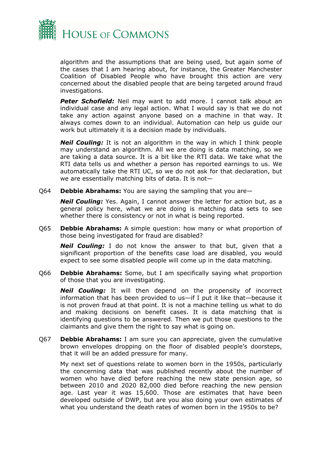

algorithm and the assumptions that are being used, but again some of the cases that I am hearing about, for instance, the Greater Manchester Coalition of Disabled People who have brought this action are very concerned about the disabled people that are being targeted around fraud investigations.

**Peter Schofield:** Neil may want to add more. I cannot talk about an individual case and any legal action. What I would say is that we do not take any action against anyone based on a machine in that way. It always comes down to an individual. Automation can help us guide our work but ultimately it is a decision made by individuals.

*Neil Couling:* It is not an algorithm in the way in which I think people may understand an algorithm. All we are doing is data matching, so we are taking a data source. It is a bit like the RTI data. We take what the RTI data tells us and whether a person has reported earnings to us. We automatically take the RTI UC, so we do not ask for that declaration, but we are essentially matching bits of data. It is not—

Q64 **Debbie Abrahams:** You are saying the sampling that you are—

*Neil Couling:* Yes. Again, I cannot answer the letter for action but, as a general policy here, what we are doing is matching data sets to see whether there is consistency or not in what is being reported.

Q65 **Debbie Abrahams:** A simple question: how many or what proportion of those being investigated for fraud are disabled?

*Neil Couling:* I do not know the answer to that but, given that a significant proportion of the benefits case load are disabled, you would expect to see some disabled people will come up in the data matching.

Q66 **Debbie Abrahams:** Some, but I am specifically saying what proportion of those that you are investigating.

*Neil Couling:* It will then depend on the propensity of incorrect information that has been provided to us—if I put it like that—because it is not proven fraud at that point. It is not a machine telling us what to do and making decisions on benefit cases. It is data matching that is identifying questions to be answered. Then we put those questions to the claimants and give them the right to say what is going on.

Q67 **Debbie Abrahams:** I am sure you can appreciate, given the cumulative brown envelopes dropping on the floor of disabled people's doorsteps, that it will be an added pressure for many.

My next set of questions relate to women born in the 1950s, particularly the concerning data that was published recently about the number of women who have died before reaching the new state pension age, so between 2010 and 2020 82,000 died before reaching the new pension age. Last year it was 15,600. Those are estimates that have been developed outside of DWP, but are you also doing your own estimates of what you understand the death rates of women born in the 1950s to be?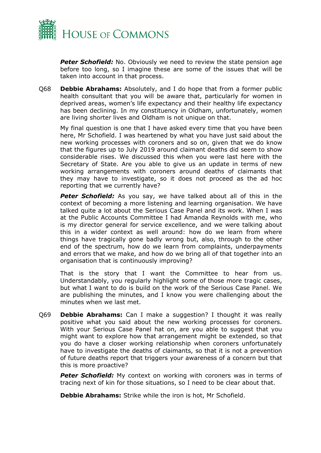

**Peter Schofield:** No. Obviously we need to review the state pension age before too long, so I imagine these are some of the issues that will be taken into account in that process.

Q68 **Debbie Abrahams:** Absolutely, and I do hope that from a former public health consultant that you will be aware that, particularly for women in deprived areas, women's life expectancy and their healthy life expectancy has been declining. In my constituency in Oldham, unfortunately, women are living shorter lives and Oldham is not unique on that.

My final question is one that I have asked every time that you have been here, Mr Schofield. I was heartened by what you have just said about the new working processes with coroners and so on, given that we do know that the figures up to July 2019 around claimant deaths did seem to show considerable rises. We discussed this when you were last here with the Secretary of State. Are you able to give us an update in terms of new working arrangements with coroners around deaths of claimants that they may have to investigate, so it does not proceed as the ad hoc reporting that we currently have?

*Peter Schofield:* As you say, we have talked about all of this in the context of becoming a more listening and learning organisation. We have talked quite a lot about the Serious Case Panel and its work. When I was at the Public Accounts Committee I had Amanda Reynolds with me, who is my director general for service excellence, and we were talking about this in a wider context as well around: how do we learn from where things have tragically gone badly wrong but, also, through to the other end of the spectrum, how do we learn from complaints, underpayments and errors that we make, and how do we bring all of that together into an organisation that is continuously improving?

That is the story that I want the Committee to hear from us. Understandably, you regularly highlight some of those more tragic cases, but what I want to do is build on the work of the Serious Case Panel. We are publishing the minutes, and I know you were challenging about the minutes when we last met.

Q69 **Debbie Abrahams:** Can I make a suggestion? I thought it was really positive what you said about the new working processes for coroners. With your Serious Case Panel hat on, are you able to suggest that you might want to explore how that arrangement might be extended, so that you do have a closer working relationship when coroners unfortunately have to investigate the deaths of claimants, so that it is not a prevention of future deaths report that triggers your awareness of a concern but that this is more proactive?

**Peter Schofield:** My context on working with coroners was in terms of tracing next of kin for those situations, so I need to be clear about that.

**Debbie Abrahams:** Strike while the iron is hot, Mr Schofield.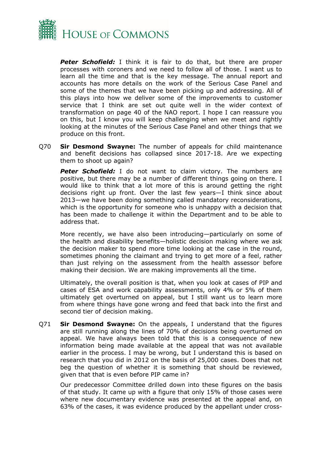

*Peter Schofield:* I think it is fair to do that, but there are proper processes with coroners and we need to follow all of those. I want us to learn all the time and that is the key message. The annual report and accounts has more details on the work of the Serious Case Panel and some of the themes that we have been picking up and addressing. All of this plays into how we deliver some of the improvements to customer service that I think are set out quite well in the wider context of transformation on page 40 of the NAO report. I hope I can reassure you on this, but I know you will keep challenging when we meet and rightly looking at the minutes of the Serious Case Panel and other things that we produce on this front.

Q70 **Sir Desmond Swayne:** The number of appeals for child maintenance and benefit decisions has collapsed since 2017-18. Are we expecting them to shoot up again?

**Peter Schofield:** I do not want to claim victory. The numbers are positive, but there may be a number of different things going on there. I would like to think that a lot more of this is around getting the right decisions right up front. Over the last few years—I think since about 2013—we have been doing something called mandatory reconsiderations, which is the opportunity for someone who is unhappy with a decision that has been made to challenge it within the Department and to be able to address that.

More recently, we have also been introducing—particularly on some of the health and disability benefits—holistic decision making where we ask the decision maker to spend more time looking at the case in the round, sometimes phoning the claimant and trying to get more of a feel, rather than just relying on the assessment from the health assessor before making their decision. We are making improvements all the time.

Ultimately, the overall position is that, when you look at cases of PIP and cases of ESA and work capability assessments, only 4% or 5% of them ultimately get overturned on appeal, but I still want us to learn more from where things have gone wrong and feed that back into the first and second tier of decision making.

Q71 **Sir Desmond Swayne:** On the appeals, I understand that the figures are still running along the lines of 70% of decisions being overturned on appeal. We have always been told that this is a consequence of new information being made available at the appeal that was not available earlier in the process. I may be wrong, but I understand this is based on research that you did in 2012 on the basis of 25,000 cases. Does that not beg the question of whether it is something that should be reviewed, given that that is even before PIP came in?

Our predecessor Committee drilled down into these figures on the basis of that study. It came up with a figure that only 15% of those cases were where new documentary evidence was presented at the appeal and, on 63% of the cases, it was evidence produced by the appellant under cross-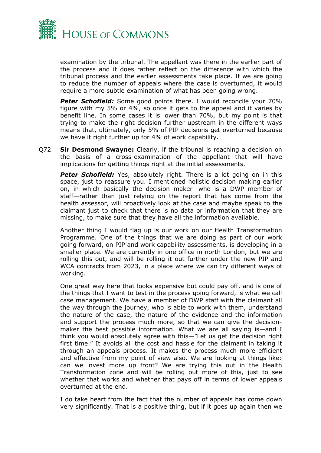

examination by the tribunal. The appellant was there in the earlier part of the process and it does rather reflect on the difference with which the tribunal process and the earlier assessments take place. If we are going to reduce the number of appeals where the case is overturned, it would require a more subtle examination of what has been going wrong.

*Peter Schofield:* Some good points there. I would reconcile your 70% figure with my 5% or 4%, so once it gets to the appeal and it varies by benefit line. In some cases it is lower than 70%, but my point is that trying to make the right decision further upstream in the different ways means that, ultimately, only 5% of PIP decisions get overturned because we have it right further up for 4% of work capability.

Q72 **Sir Desmond Swayne:** Clearly, if the tribunal is reaching a decision on the basis of a cross-examination of the appellant that will have implications for getting things right at the initial assessments.

**Peter Schofield:** Yes, absolutely right. There is a lot going on in this space, just to reassure you. I mentioned holistic decision making earlier on, in which basically the decision maker—who is a DWP member of staff—rather than just relying on the report that has come from the health assessor, will proactively look at the case and maybe speak to the claimant just to check that there is no data or information that they are missing, to make sure that they have all the information available.

Another thing I would flag up is our work on our Health Transformation Programme. One of the things that we are doing as part of our work going forward, on PIP and work capability assessments, is developing in a smaller place. We are currently in one office in north London, but we are rolling this out, and will be rolling it out further under the new PIP and WCA contracts from 2023, in a place where we can try different ways of working.

One great way here that looks expensive but could pay off, and is one of the things that I want to test in the process going forward, is what we call case management. We have a member of DWP staff with the claimant all the way through the journey, who is able to work with them, understand the nature of the case, the nature of the evidence and the information and support the process much more, so that we can give the decisionmaker the best possible information. What we are all saying is—and I think you would absolutely agree with this—"Let us get the decision right first time." It avoids all the cost and hassle for the claimant in taking it through an appeals process. It makes the process much more efficient and effective from my point of view also. We are looking at things like: can we invest more up front? We are trying this out in the Health Transformation zone and will be rolling out more of this, just to see whether that works and whether that pays off in terms of lower appeals overturned at the end.

I do take heart from the fact that the number of appeals has come down very significantly. That is a positive thing, but if it goes up again then we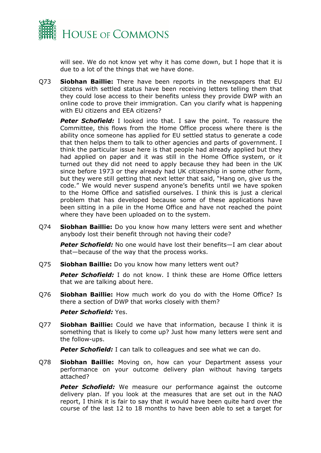

will see. We do not know yet why it has come down, but I hope that it is due to a lot of the things that we have done.

Q73 **Siobhan Baillie:** There have been reports in the newspapers that EU citizens with settled status have been receiving letters telling them that they could lose access to their benefits unless they provide DWP with an online code to prove their immigration. Can you clarify what is happening with FU citizens and FFA citizens?

**Peter Schofield:** I looked into that. I saw the point. To reassure the Committee, this flows from the Home Office process where there is the ability once someone has applied for EU settled status to generate a code that then helps them to talk to other agencies and parts of government. I think the particular issue here is that people had already applied but they had applied on paper and it was still in the Home Office system, or it turned out they did not need to apply because they had been in the UK since before 1973 or they already had UK citizenship in some other form, but they were still getting that next letter that said, "Hang on, give us the code." We would never suspend anyone's benefits until we have spoken to the Home Office and satisfied ourselves. I think this is just a clerical problem that has developed because some of these applications have been sitting in a pile in the Home Office and have not reached the point where they have been uploaded on to the system.

Q74 **Siobhan Baillie:** Do you know how many letters were sent and whether anybody lost their benefit through not having their code?

*Peter Schofield:* No one would have lost their benefits—I am clear about that—because of the way that the process works.

Q75 **Siobhan Baillie:** Do you know how many letters went out?

*Peter Schofield:* I do not know. I think these are Home Office letters that we are talking about here.

Q76 **Siobhan Baillie:** How much work do you do with the Home Office? Is there a section of DWP that works closely with them?

#### *Peter Schofield:* Yes.

Q77 **Siobhan Baillie:** Could we have that information, because I think it is something that is likely to come up? Just how many letters were sent and the follow-ups.

**Peter Schofield:** I can talk to colleagues and see what we can do.

Q78 **Siobhan Baillie:** Moving on, how can your Department assess your performance on your outcome delivery plan without having targets attached?

**Peter Schofield:** We measure our performance against the outcome delivery plan. If you look at the measures that are set out in the NAO report, I think it is fair to say that it would have been quite hard over the course of the last 12 to 18 months to have been able to set a target for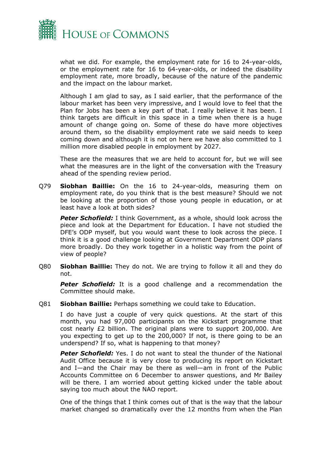

what we did. For example, the employment rate for 16 to 24-year-olds, or the employment rate for 16 to 64-year-olds, or indeed the disability employment rate, more broadly, because of the nature of the pandemic and the impact on the labour market.

Although I am glad to say, as I said earlier, that the performance of the labour market has been very impressive, and I would love to feel that the Plan for Jobs has been a key part of that. I really believe it has been. I think targets are difficult in this space in a time when there is a huge amount of change going on. Some of these do have more objectives around them, so the disability employment rate we said needs to keep coming down and although it is not on here we have also committed to 1 million more disabled people in employment by 2027.

These are the measures that we are held to account for, but we will see what the measures are in the light of the conversation with the Treasury ahead of the spending review period.

Q79 **Siobhan Baillie:** On the 16 to 24-year-olds, measuring them on employment rate, do you think that is the best measure? Should we not be looking at the proportion of those young people in education, or at least have a look at both sides?

**Peter Schofield:** I think Government, as a whole, should look across the piece and look at the Department for Education. I have not studied the DFE's ODP myself, but you would want these to look across the piece. I think it is a good challenge looking at Government Department ODP plans more broadly. Do they work together in a holistic way from the point of view of people?

Q80 **Siobhan Baillie:** They do not. We are trying to follow it all and they do not.

**Peter Schofield:** It is a good challenge and a recommendation the Committee should make.

Q81 **Siobhan Baillie:** Perhaps something we could take to Education.

I do have just a couple of very quick questions. At the start of this month, you had 97,000 participants on the Kickstart programme that cost nearly  $E2$  billion. The original plans were to support 200,000. Are you expecting to get up to the 200,000? If not, is there going to be an underspend? If so, what is happening to that money?

*Peter Schofield:* Yes. I do not want to steal the thunder of the National Audit Office because it is very close to producing its report on Kickstart and I—and the Chair may be there as well—am in front of the Public Accounts Committee on 6 December to answer questions, and Mr Bailey will be there. I am worried about getting kicked under the table about saying too much about the NAO report.

One of the things that I think comes out of that is the way that the labour market changed so dramatically over the 12 months from when the Plan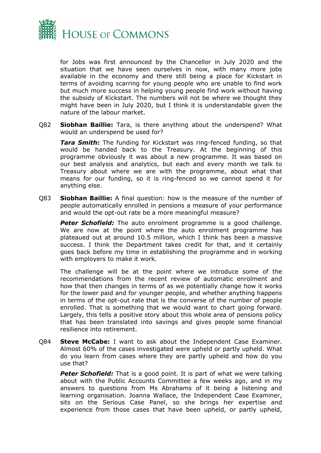

for Jobs was first announced by the Chancellor in July 2020 and the situation that we have seen ourselves in now, with many more jobs available in the economy and there still being a place for Kickstart in terms of avoiding scarring for young people who are unable to find work but much more success in helping young people find work without having the subsidy of Kickstart. The numbers will not be where we thought they might have been in July 2020, but I think it is understandable given the nature of the labour market.

Q82 **Siobhan Baillie:** Tara, is there anything about the underspend? What would an underspend be used for?

*Tara Smith:* The funding for Kickstart was ring-fenced funding, so that would be handed back to the Treasury. At the beginning of this programme obviously it was about a new programme. It was based on our best analysis and analytics, but each and every month we talk to Treasury about where we are with the programme, about what that means for our funding, so it is ring-fenced so we cannot spend it for anything else.

Q83 **Siobhan Baillie:** A final question: how is the measure of the number of people automatically enrolled in pensions a measure of your performance and would the opt-out rate be a more meaningful measure?

**Peter Schofield:** The auto enrolment programme is a good challenge. We are now at the point where the auto enrolment programme has plateaued out at around 10.5 million, which I think has been a massive success. I think the Department takes credit for that, and it certainly goes back before my time in establishing the programme and in working with employers to make it work.

The challenge will be at the point where we introduce some of the recommendations from the recent review of automatic enrolment and how that then changes in terms of as we potentially change how it works for the lower paid and for younger people, and whether anything happens in terms of the opt-out rate that is the converse of the number of people enrolled. That is something that we would want to chart going forward. Largely, this tells a positive story about this whole area of pensions policy that has been translated into savings and gives people some financial resilience into retirement.

Q84 **Steve McCabe:** I want to ask about the Independent Case Examiner. Almost 60% of the cases investigated were upheld or partly upheld. What do you learn from cases where they are partly upheld and how do you use that?

**Peter Schofield:** That is a good point. It is part of what we were talking about with the Public Accounts Committee a few weeks ago, and in my answers to questions from Ms Abrahams of it being a listening and learning organisation. Joanna Wallace, the Independent Case Examiner, sits on the Serious Case Panel, so she brings her expertise and experience from those cases that have been upheld, or partly upheld,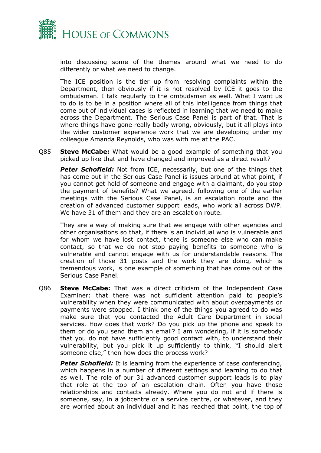

into discussing some of the themes around what we need to do differently or what we need to change.

The ICE position is the tier up from resolving complaints within the Department, then obviously if it is not resolved by ICE it goes to the ombudsman. I talk regularly to the ombudsman as well. What I want us to do is to be in a position where all of this intelligence from things that come out of individual cases is reflected in learning that we need to make across the Department. The Serious Case Panel is part of that. That is where things have gone really badly wrong, obviously, but it all plays into the wider customer experience work that we are developing under my colleague Amanda Reynolds, who was with me at the PAC.

Q85 **Steve McCabe:** What would be a good example of something that you picked up like that and have changed and improved as a direct result?

**Peter Schofield:** Not from ICE, necessarily, but one of the things that has come out in the Serious Case Panel is issues around at what point, if you cannot get hold of someone and engage with a claimant, do you stop the payment of benefits? What we agreed, following one of the earlier meetings with the Serious Case Panel, is an escalation route and the creation of advanced customer support leads, who work all across DWP. We have 31 of them and they are an escalation route.

They are a way of making sure that we engage with other agencies and other organisations so that, if there is an individual who is vulnerable and for whom we have lost contact, there is someone else who can make contact, so that we do not stop paying benefits to someone who is vulnerable and cannot engage with us for understandable reasons. The creation of those 31 posts and the work they are doing, which is tremendous work, is one example of something that has come out of the Serious Case Panel.

Q86 **Steve McCabe:** That was a direct criticism of the Independent Case Examiner: that there was not sufficient attention paid to people's vulnerability when they were communicated with about overpayments or payments were stopped. I think one of the things you agreed to do was make sure that you contacted the Adult Care Department in social services. How does that work? Do you pick up the phone and speak to them or do you send them an email? I am wondering, if it is somebody that you do not have sufficiently good contact with, to understand their vulnerability, but you pick it up sufficiently to think, "I should alert someone else," then how does the process work?

**Peter Schofield:** It is learning from the experience of case conferencing, which happens in a number of different settings and learning to do that as well. The role of our 31 advanced customer support leads is to play that role at the top of an escalation chain. Often you have those relationships and contacts already. Where you do not and if there is someone, say, in a jobcentre or a service centre, or whatever, and they are worried about an individual and it has reached that point, the top of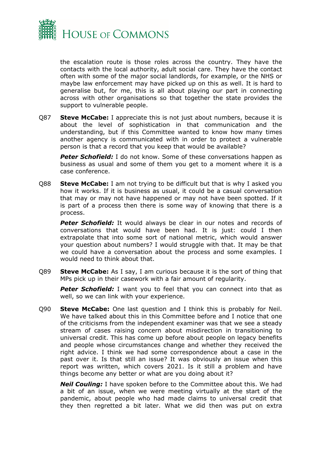

the escalation route is those roles across the country. They have the contacts with the local authority, adult social care. They have the contact often with some of the major social landlords, for example, or the NHS or maybe law enforcement may have picked up on this as well. It is hard to generalise but, for me, this is all about playing our part in connecting across with other organisations so that together the state provides the support to vulnerable people.

Q87 **Steve McCabe:** I appreciate this is not just about numbers, because it is about the level of sophistication in that communication and the understanding, but if this Committee wanted to know how many times another agency is communicated with in order to protect a vulnerable person is that a record that you keep that would be available?

**Peter Schofield:** I do not know. Some of these conversations happen as business as usual and some of them you get to a moment where it is a case conference.

Q88 **Steve McCabe:** I am not trying to be difficult but that is why I asked you how it works. If it is business as usual, it could be a casual conversation that may or may not have happened or may not have been spotted. If it is part of a process then there is some way of knowing that there is a process.

**Peter Schofield:** It would always be clear in our notes and records of conversations that would have been had. It is just: could I then extrapolate that into some sort of national metric, which would answer your question about numbers? I would struggle with that. It may be that we could have a conversation about the process and some examples. I would need to think about that.

Q89 **Steve McCabe:** As I say, I am curious because it is the sort of thing that MPs pick up in their casework with a fair amount of regularity.

**Peter Schofield:** I want you to feel that you can connect into that as well, so we can link with your experience.

Q90 **Steve McCabe:** One last question and I think this is probably for Neil. We have talked about this in this Committee before and I notice that one of the criticisms from the independent examiner was that we see a steady stream of cases raising concern about misdirection in transitioning to universal credit. This has come up before about people on legacy benefits and people whose circumstances change and whether they received the right advice. I think we had some correspondence about a case in the past over it. Is that still an issue? It was obviously an issue when this report was written, which covers 2021. Is it still a problem and have things become any better or what are you doing about it?

*Neil Couling:* I have spoken before to the Committee about this. We had a bit of an issue, when we were meeting virtually at the start of the pandemic, about people who had made claims to universal credit that they then regretted a bit later. What we did then was put on extra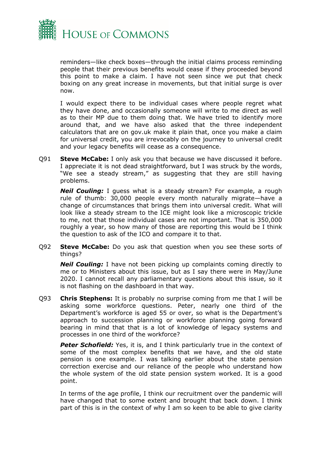

reminders—like check boxes—through the initial claims process reminding people that their previous benefits would cease if they proceeded beyond this point to make a claim. I have not seen since we put that check boxing on any great increase in movements, but that initial surge is over now.

I would expect there to be individual cases where people regret what they have done, and occasionally someone will write to me direct as well as to their MP due to them doing that. We have tried to identify more around that, and we have also asked that the three independent calculators that are on gov.uk make it plain that, once you make a claim for universal credit, you are irrevocably on the journey to universal credit and your legacy benefits will cease as a consequence.

Q91 **Steve McCabe:** I only ask you that because we have discussed it before. I appreciate it is not dead straightforward, but I was struck by the words, "We see a steady stream," as suggesting that they are still having problems.

*Neil Couling:* I guess what is a steady stream? For example, a rough rule of thumb: 30,000 people every month naturally migrate—have a change of circumstances that brings them into universal credit. What will look like a steady stream to the ICE might look like a microscopic trickle to me, not that those individual cases are not important. That is 350,000 roughly a year, so how many of those are reporting this would be I think the question to ask of the ICO and compare it to that.

Q92 **Steve McCabe:** Do you ask that question when you see these sorts of things?

*Neil Couling:* I have not been picking up complaints coming directly to me or to Ministers about this issue, but as I say there were in May/June 2020. I cannot recall any parliamentary questions about this issue, so it is not flashing on the dashboard in that way.

Q93 **Chris Stephens:** It is probably no surprise coming from me that I will be asking some workforce questions. Peter, nearly one third of the Department's workforce is aged 55 or over, so what is the Department's approach to succession planning or workforce planning going forward bearing in mind that that is a lot of knowledge of legacy systems and processes in one third of the workforce?

**Peter Schofield:** Yes, it is, and I think particularly true in the context of some of the most complex benefits that we have, and the old state pension is one example. I was talking earlier about the state pension correction exercise and our reliance of the people who understand how the whole system of the old state pension system worked. It is a good point.

In terms of the age profile, I think our recruitment over the pandemic will have changed that to some extent and brought that back down. I think part of this is in the context of why I am so keen to be able to give clarity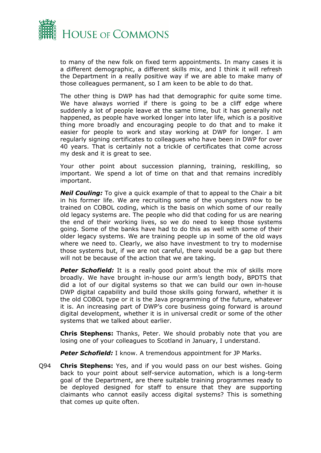

to many of the new folk on fixed term appointments. In many cases it is a different demographic, a different skills mix, and I think it will refresh the Department in a really positive way if we are able to make many of those colleagues permanent, so I am keen to be able to do that.

The other thing is DWP has had that demographic for quite some time. We have always worried if there is going to be a cliff edge where suddenly a lot of people leave at the same time, but it has generally not happened, as people have worked longer into later life, which is a positive thing more broadly and encouraging people to do that and to make it easier for people to work and stay working at DWP for longer. I am regularly signing certificates to colleagues who have been in DWP for over 40 years. That is certainly not a trickle of certificates that come across my desk and it is great to see.

Your other point about succession planning, training, reskilling, so important. We spend a lot of time on that and that remains incredibly important.

*Neil Couling:* To give a quick example of that to appeal to the Chair a bit in his former life. We are recruiting some of the youngsters now to be trained on COBOL coding, which is the basis on which some of our really old legacy systems are. The people who did that coding for us are nearing the end of their working lives, so we do need to keep those systems going. Some of the banks have had to do this as well with some of their older legacy systems. We are training people up in some of the old ways where we need to. Clearly, we also have investment to try to modernise those systems but, if we are not careful, there would be a gap but there will not be because of the action that we are taking.

**Peter Schofield:** It is a really good point about the mix of skills more broadly. We have brought in-house our arm's length body, BPDTS that did a lot of our digital systems so that we can build our own in-house DWP digital capability and build those skills going forward, whether it is the old COBOL type or it is the Java programming of the future, whatever it is. An increasing part of DWP's core business going forward is around digital development, whether it is in universal credit or some of the other systems that we talked about earlier.

**Chris Stephens:** Thanks, Peter. We should probably note that you are losing one of your colleagues to Scotland in January, I understand.

*Peter Schofield:* I know. A tremendous appointment for JP Marks.

Q94 **Chris Stephens:** Yes, and if you would pass on our best wishes. Going back to your point about self-service automation, which is a long-term goal of the Department, are there suitable training programmes ready to be deployed designed for staff to ensure that they are supporting claimants who cannot easily access digital systems? This is something that comes up quite often.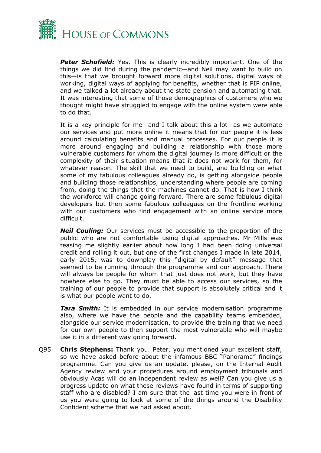

**Peter Schofield:** Yes. This is clearly incredibly important. One of the things we did find during the pandemic—and Neil may want to build on this—is that we brought forward more digital solutions, digital ways of working, digital ways of applying for benefits, whether that is PIP online, and we talked a lot already about the state pension and automating that. It was interesting that some of those demographics of customers who we thought might have struggled to engage with the online system were able to do that.

It is a key principle for me—and I talk about this a lot—as we automate our services and put more online it means that for our people it is less around calculating benefits and manual processes. For our people it is more around engaging and building a relationship with those more vulnerable customers for whom the digital journey is more difficult or the complexity of their situation means that it does not work for them, for whatever reason. The skill that we need to build, and building on what some of my fabulous colleagues already do, is getting alongside people and building those relationships, understanding where people are coming from, doing the things that the machines cannot do. That is how I think the workforce will change going forward. There are some fabulous digital developers but then some fabulous colleagues on the frontline working with our customers who find engagement with an online service more difficult.

*Neil Couling:* Our services must be accessible to the proportion of the public who are not comfortable using digital approaches. Mr Mills was teasing me slightly earlier about how long I had been doing universal credit and rolling it out, but one of the first changes I made in late 2014, early 2015, was to downplay this "digital by default" message that seemed to be running through the programme and our approach. There will always be people for whom that just does not work, but they have nowhere else to go. They must be able to access our services, so the training of our people to provide that support is absolutely critical and it is what our people want to do.

*Tara Smith:* It is embedded in our service modernisation programme also, where we have the people and the capability teams embedded, alongside our service modernisation, to provide the training that we need for our own people to then support the most vulnerable who will maybe use it in a different way going forward.

Q95 **Chris Stephens:** Thank you. Peter, you mentioned your excellent staff, so we have asked before about the infamous BBC "Panorama" findings programme. Can you give us an update, please, on the Internal Audit Agency review and your procedures around employment tribunals and obviously Acas will do an independent review as well? Can you give us a progress update on what these reviews have found in terms of supporting staff who are disabled? I am sure that the last time you were in front of us you were going to look at some of the things around the Disability Confident scheme that we had asked about.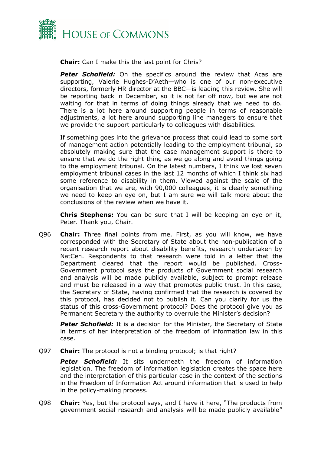

**Chair:** Can I make this the last point for Chris?

**Peter Schofield:** On the specifics around the review that Acas are supporting, Valerie Hughes-D'Aeth—who is one of our non-executive directors, formerly HR director at the BBC—is leading this review. She will be reporting back in December, so it is not far off now, but we are not waiting for that in terms of doing things already that we need to do. There is a lot here around supporting people in terms of reasonable adjustments, a lot here around supporting line managers to ensure that we provide the support particularly to colleagues with disabilities.

If something goes into the grievance process that could lead to some sort of management action potentially leading to the employment tribunal, so absolutely making sure that the case management support is there to ensure that we do the right thing as we go along and avoid things going to the employment tribunal. On the latest numbers, I think we lost seven employment tribunal cases in the last 12 months of which I think six had some reference to disability in them. Viewed against the scale of the organisation that we are, with 90,000 colleagues, it is clearly something we need to keep an eye on, but I am sure we will talk more about the conclusions of the review when we have it.

**Chris Stephens:** You can be sure that I will be keeping an eye on it, Peter. Thank you, Chair.

Q96 **Chair:** Three final points from me. First, as you will know, we have corresponded with the Secretary of State about the non-publication of a recent research report about disability benefits, research undertaken by NatCen. Respondents to that research were told in a letter that the Department cleared that the report would be published. Cross-Government protocol says the products of Government social research and analysis will be made publicly available, subject to prompt release and must be released in a way that promotes public trust. In this case, the Secretary of State, having confirmed that the research is covered by this protocol, has decided not to publish it. Can you clarify for us the status of this cross-Government protocol? Does the protocol give you as Permanent Secretary the authority to overrule the Minister's decision?

*Peter Schofield:* It is a decision for the Minister, the Secretary of State in terms of her interpretation of the freedom of information law in this case.

Q97 **Chair:** The protocol is not a binding protocol; is that right?

*Peter Schofield:* It sits underneath the freedom of information legislation. The freedom of information legislation creates the space here and the interpretation of this particular case in the context of the sections in the Freedom of Information Act around information that is used to help in the policy-making process.

Q98 **Chair:** Yes, but the protocol says, and I have it here, "The products from government social research and analysis will be made publicly available"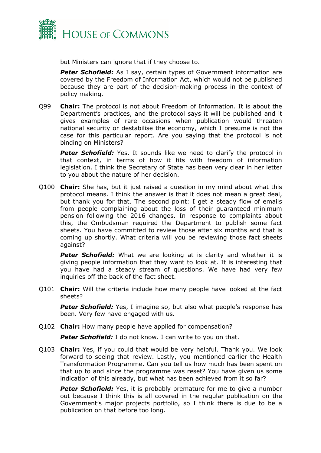

but Ministers can ignore that if they choose to.

**Peter Schofield:** As I say, certain types of Government information are covered by the Freedom of Information Act, which would not be published because they are part of the decision-making process in the context of policy making.

Q99 **Chair:** The protocol is not about Freedom of Information. It is about the Department's practices, and the protocol says it will be published and it gives examples of rare occasions when publication would threaten national security or destabilise the economy, which I presume is not the case for this particular report. Are you saying that the protocol is not binding on Ministers?

**Peter Schofield:** Yes. It sounds like we need to clarify the protocol in that context, in terms of how it fits with freedom of information legislation. I think the Secretary of State has been very clear in her letter to you about the nature of her decision.

Q100 **Chair:** She has, but it just raised a question in my mind about what this protocol means. I think the answer is that it does not mean a great deal, but thank you for that. The second point: I get a steady flow of emails from people complaining about the loss of their guaranteed minimum pension following the 2016 changes. In response to complaints about this, the Ombudsman required the Department to publish some fact sheets. You have committed to review those after six months and that is coming up shortly. What criteria will you be reviewing those fact sheets against?

**Peter Schofield:** What we are looking at is clarity and whether it is giving people information that they want to look at. It is interesting that you have had a steady stream of questions. We have had very few inquiries off the back of the fact sheet.

Q101 **Chair:** Will the criteria include how many people have looked at the fact sheets?

**Peter Schofield:** Yes, I imagine so, but also what people's response has been. Very few have engaged with us.

Q102 **Chair:** How many people have applied for compensation?

**Peter Schofield:** I do not know. I can write to you on that.

Q103 **Chair:** Yes, if you could that would be very helpful. Thank you. We look forward to seeing that review. Lastly, you mentioned earlier the Health Transformation Programme. Can you tell us how much has been spent on that up to and since the programme was reset? You have given us some indication of this already, but what has been achieved from it so far?

**Peter Schofield:** Yes, it is probably premature for me to give a number out because I think this is all covered in the regular publication on the Government's major projects portfolio, so I think there is due to be a publication on that before too long.